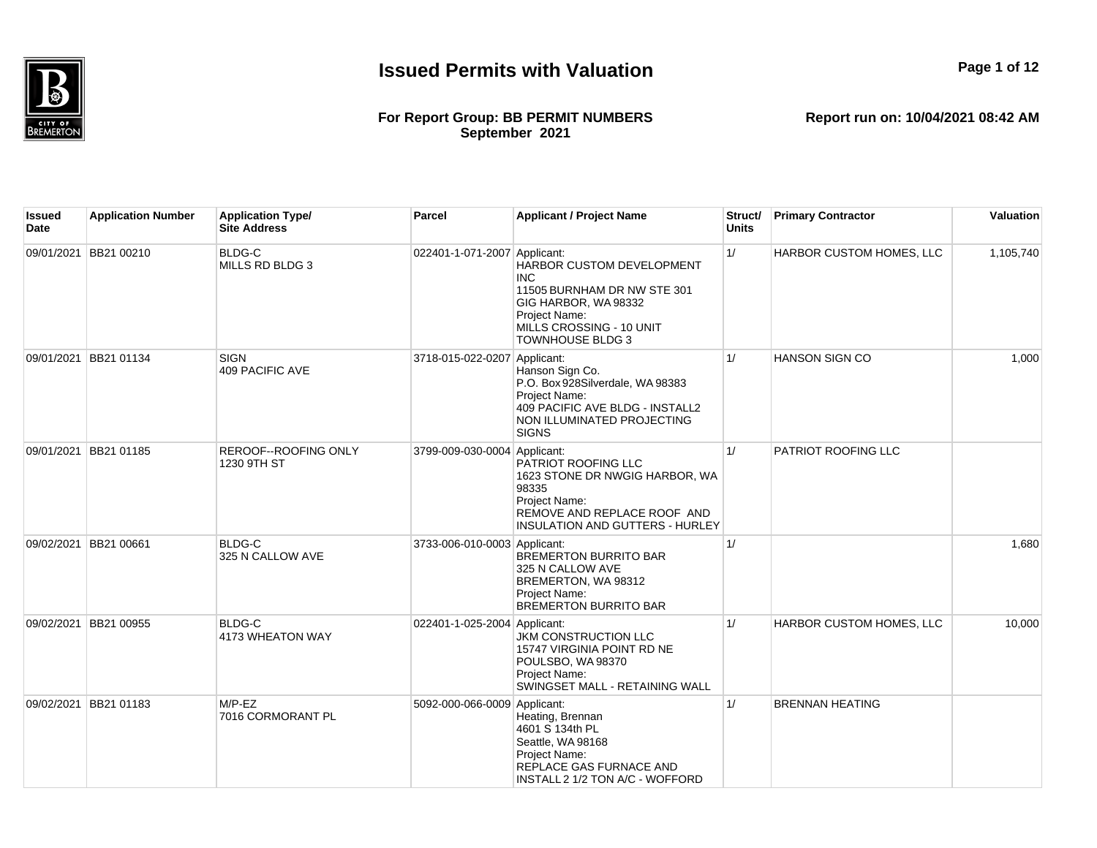

#### **For Report Group: BB PERMIT NUMBERS September 2021**

**Report run on: 10/04/2021 08:42 AM**

**Page 1 of 12**

| Issued<br>Date | <b>Application Number</b> | <b>Application Type/</b><br><b>Site Address</b> | Parcel                       | <b>Applicant / Project Name</b>                                                                                                                                        | Struct/<br><b>Units</b> | <b>Primary Contractor</b> | Valuation |
|----------------|---------------------------|-------------------------------------------------|------------------------------|------------------------------------------------------------------------------------------------------------------------------------------------------------------------|-------------------------|---------------------------|-----------|
|                | 09/01/2021 BB21 00210     | <b>BLDG-C</b><br>MILLS RD BLDG 3                | 022401-1-071-2007 Applicant: | HARBOR CUSTOM DEVELOPMENT<br><b>INC</b><br>11505 BURNHAM DR NW STE 301<br>GIG HARBOR, WA 98332<br>Project Name:<br>MILLS CROSSING - 10 UNIT<br><b>TOWNHOUSE BLDG 3</b> | 1/                      | HARBOR CUSTOM HOMES, LLC  | 1,105,740 |
|                | 09/01/2021 BB21 01134     | SIGN<br>409 PACIFIC AVE                         | 3718-015-022-0207 Applicant: | Hanson Sign Co.<br>P.O. Box 928Silverdale, WA 98383<br>Project Name:<br>409 PACIFIC AVE BLDG - INSTALL2<br>NON ILLUMINATED PROJECTING<br><b>SIGNS</b>                  | 1/                      | <b>HANSON SIGN CO</b>     | 1.000     |
|                | 09/01/2021 BB21 01185     | REROOF--ROOFING ONLY<br>1230 9TH ST             | 3799-009-030-0004 Applicant: | PATRIOT ROOFING LLC<br>1623 STONE DR NWGIG HARBOR, WA<br>98335<br>Project Name:<br>REMOVE AND REPLACE ROOF AND<br>INSULATION AND GUTTERS - HURLEY                      | 1/                      | PATRIOT ROOFING LLC       |           |
| 09/02/2021     | <b>BB21 00661</b>         | <b>BLDG-C</b><br>325 N CALLOW AVE               | 3733-006-010-0003 Applicant: | <b>BREMERTON BURRITO BAR</b><br>325 N CALLOW AVE<br>BREMERTON, WA 98312<br>Project Name:<br><b>BREMERTON BURRITO BAR</b>                                               | 1/                      |                           | 1.680     |
|                | 09/02/2021 BB21 00955     | BLDG-C<br>4173 WHEATON WAY                      | 022401-1-025-2004 Applicant: | <b>JKM CONSTRUCTION LLC</b><br>15747 VIRGINIA POINT RD NE<br>POULSBO, WA 98370<br>Project Name:<br>SWINGSET MALL - RETAINING WALL                                      | 1/                      | HARBOR CUSTOM HOMES, LLC  | 10.000    |
| 09/02/2021     | BB21 01183                | $M/P$ -EZ<br>7016 CORMORANT PL                  | 5092-000-066-0009 Applicant: | Heating, Brennan<br>4601 S 134th PL<br>Seattle, WA 98168<br>Project Name:<br>REPLACE GAS FURNACE AND<br>INSTALL 2 1/2 TON A/C - WOFFORD                                | 1/                      | <b>BRENNAN HEATING</b>    |           |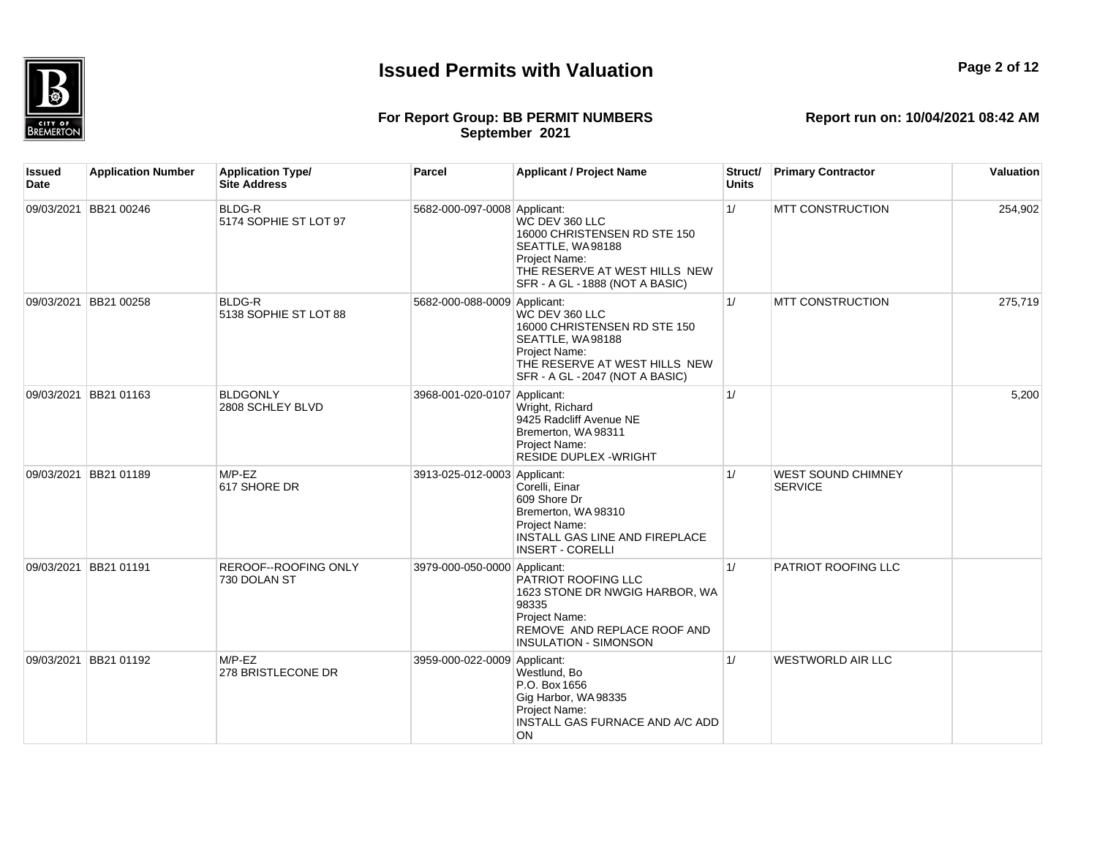

#### **For Report Group: BB PERMIT NUMBERS September 2021**

| <b>Issued</b><br>Date | <b>Application Number</b> | <b>Application Type/</b><br><b>Site Address</b> | <b>Parcel</b>                | <b>Applicant / Project Name</b>                                                                                                                                | Struct/<br><b>Units</b> | <b>Primary Contractor</b>                   | <b>Valuation</b> |
|-----------------------|---------------------------|-------------------------------------------------|------------------------------|----------------------------------------------------------------------------------------------------------------------------------------------------------------|-------------------------|---------------------------------------------|------------------|
|                       | 09/03/2021 BB21 00246     | <b>BLDG-R</b><br>5174 SOPHIE ST LOT 97          | 5682-000-097-0008 Applicant: | WC DEV 360 LLC<br>16000 CHRISTENSEN RD STE 150<br>SEATTLE, WA98188<br>Project Name:<br>THE RESERVE AT WEST HILLS NEW<br>SFR - A GL - 1888 (NOT A BASIC)        | $\vert$ 1/              | <b>MTT CONSTRUCTION</b>                     | 254,902          |
|                       | 09/03/2021 BB21 00258     | <b>BLDG-R</b><br>5138 SOPHIE ST LOT 88          | 5682-000-088-0009 Applicant: | WC DEV 360 LLC<br>16000 CHRISTENSEN RD STE 150<br>SEATTLE, WA98188<br><b>Project Name:</b><br>THE RESERVE AT WEST HILLS NEW<br>SFR - A GL - 2047 (NOT A BASIC) | 1/                      | <b>MTT CONSTRUCTION</b>                     | 275,719          |
|                       | 09/03/2021 BB21 01163     | <b>BLDGONLY</b><br>2808 SCHLEY BLVD             | 3968-001-020-0107 Applicant: | Wright, Richard<br>9425 Radcliff Avenue NE<br>Bremerton, WA98311<br>Project Name:<br><b>RESIDE DUPLEX - WRIGHT</b>                                             | 1/                      |                                             | 5,200            |
|                       | 09/03/2021 BB21 01189     | $M/P$ -EZ<br>617 SHORE DR                       | 3913-025-012-0003 Applicant: | Corelli, Einar<br>609 Shore Dr<br>Bremerton, WA 98310<br>Project Name:<br>INSTALL GAS LINE AND FIREPLACE<br><b>INSERT - CORELLI</b>                            | 1/                      | <b>WEST SOUND CHIMNEY</b><br><b>SERVICE</b> |                  |
|                       | 09/03/2021 BB21 01191     | <b>REROOF--ROOFING ONLY</b><br>730 DOLAN ST     | 3979-000-050-0000 Applicant: | PATRIOT ROOFING LLC<br>1623 STONE DR NWGIG HARBOR, WA<br>98335<br>Proiect Name:<br>REMOVE AND REPLACE ROOF AND<br><b>INSULATION - SIMONSON</b>                 | 1/                      | PATRIOT ROOFING LLC                         |                  |
|                       | 09/03/2021 BB21 01192     | $M/P$ -EZ<br>278 BRISTLECONE DR                 | 3959-000-022-0009 Applicant: | Westlund, Bo<br>P.O. Box 1656<br>Gig Harbor, WA98335<br>Project Name:<br>INSTALL GAS FURNACE AND A/C ADD<br>ON                                                 | 1/                      | <b>WESTWORLD AIR LLC</b>                    |                  |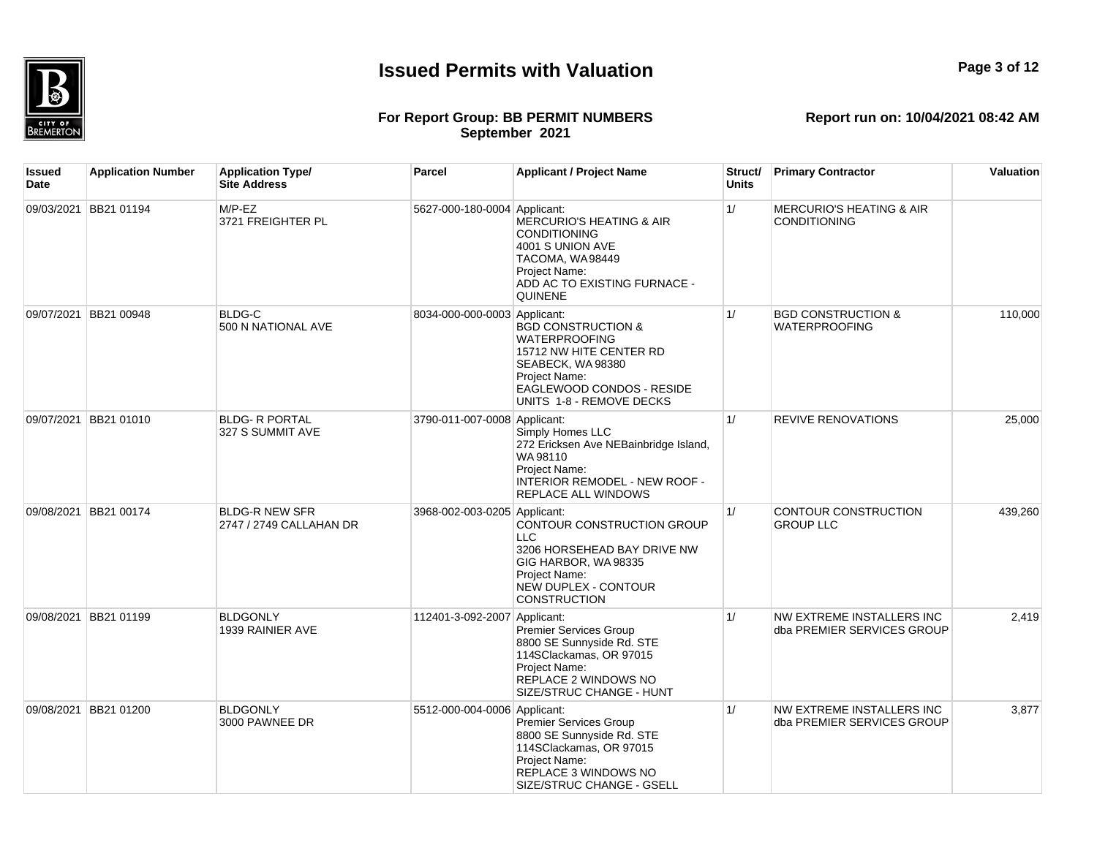

**Issued Date**

### **For Report Group: BB PERMIT NUMBERS September 2021**

**Application Number Application Type/ Site Address Parcel Applicant / Project Name Struct/ Units Primary Contractor Valuation** 09/03/2021 BB21 01194 M/P-EZ 3721 FREIGHTER PL 5627-000-180-0004 Applicant: MERCURIO'S HEATING & AIR CONDITIONING 4001 S UNION AVE TACOMA, WA 98449 Project Name: ADD AC TO EXISTING FURNACE -**QUINENE** 1/ MERCURIO'S HEATING & AIR **CONDITIONING** 09/07/2021 BB21 00948 BLDG-C 500 N NATIONAL AVE 8034-000-000-0003 Applicant: BGD CONSTRUCTION & WATERPROOFING 15712 NW HITE CENTER RD SEABECK, WA 98380 Project Name: EAGLEWOOD CONDOS - RESIDE UNITS 1-8 - REMOVE DECKS 1/ BGD CONSTRUCTION & WATERPROOFING 110,000 09/07/2021 BB21 01010 BLDG- R PORTAL 327 S SUMMIT AVE 3790-011-007-0008 Applicant: Simply Homes LLC 272 Ericksen Ave NEBainbridge Island, WA 98110 Project Name:  $\overline{I}$ INTERIOR REMODEL - NEW ROOF REPLACE ALL WINDOWS 1/ REVIVE RENOVATIONS 25,000 3968-002-003-0205 Applicant: 1/ CONTOUR CONSTRUCTION

|            |            |                                                  |                              | <b>REPLACE ALL WINDOWS</b>                                                                                                                                  |    |                                                         |         |
|------------|------------|--------------------------------------------------|------------------------------|-------------------------------------------------------------------------------------------------------------------------------------------------------------|----|---------------------------------------------------------|---------|
| 09/08/2021 | BB21 00174 | <b>BLDG-R NEW SFR</b><br>2747 / 2749 CALLAHAN DR | 3968-002-003-0205 Applicant: | CONTOUR CONSTRUCTION GROUP<br>LLC.<br>3206 HORSEHEAD BAY DRIVE NW<br>GIG HARBOR, WA 98335<br>Project Name:<br>NEW DUPLEX - CONTOUR<br><b>CONSTRUCTION</b>   | 1/ | CONTOUR CONSTRUCTION<br><b>GROUP LLC</b>                | 439,260 |
| 09/08/2021 | BB21 01199 | <b>BLDGONLY</b><br>1939 RAINIER AVE              | 112401-3-092-2007 Applicant: | Premier Services Group<br>8800 SE Sunnyside Rd. STE<br>114SClackamas, OR 97015<br>Project Name:<br>REPLACE 2 WINDOWS NO<br>SIZE/STRUC CHANGE - HUNT         | 1/ | NW EXTREME INSTALLERS INC<br>dba PREMIER SERVICES GROUP | 2,419   |
| 09/08/2021 | BB21 01200 | <b>BLDGONLY</b><br>3000 PAWNEE DR                | 5512-000-004-0006 Applicant: | Premier Services Group<br>8800 SE Sunnyside Rd. STE<br>114SClackamas, OR 97015<br>Project Name:<br><b>REPLACE 3 WINDOWS NO</b><br>SIZE/STRUC CHANGE - GSELL | 1/ | NW EXTREME INSTALLERS INC<br>dba PREMIER SERVICES GROUP | 3,877   |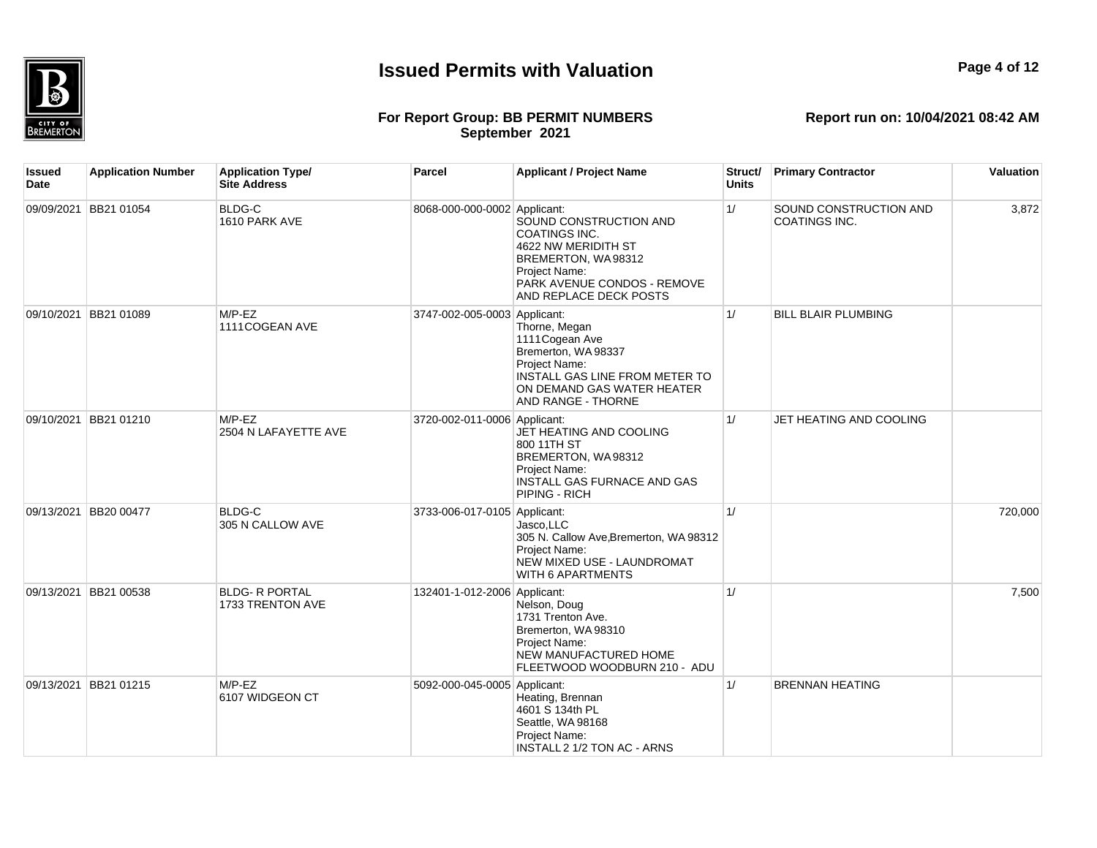

**Page 4 of 12**

## **For Report Group: BB PERMIT NUMBERS September 2021**

**Report run on: 10/04/2021 08:42 AM**

| <b>Issued</b><br>Date | <b>Application Number</b> | <b>Application Type/</b><br><b>Site Address</b> | Parcel                       | <b>Applicant / Project Name</b>                                                                                                                                       | Struct/<br><b>Units</b> | <b>Primary Contractor</b>                      | Valuation |
|-----------------------|---------------------------|-------------------------------------------------|------------------------------|-----------------------------------------------------------------------------------------------------------------------------------------------------------------------|-------------------------|------------------------------------------------|-----------|
|                       | 09/09/2021 BB21 01054     | <b>BLDG-C</b><br>1610 PARK AVE                  | 8068-000-000-0002 Applicant: | SOUND CONSTRUCTION AND<br><b>COATINGS INC.</b><br>4622 NW MERIDITH ST<br>BREMERTON, WA98312<br>Project Name:<br>PARK AVENUE CONDOS - REMOVE<br>AND REPLACE DECK POSTS | 1/                      | <b>SOUND CONSTRUCTION AND</b><br>COATINGS INC. | 3,872     |
|                       | 09/10/2021 BB21 01089     | $M/P$ -EZ<br>1111COGEAN AVE                     | 3747-002-005-0003 Applicant: | Thorne, Megan<br>1111 Cogean Ave<br>Bremerton, WA 98337<br>Project Name:<br>INSTALL GAS LINE FROM METER TO<br>ON DEMAND GAS WATER HEATER<br><b>AND RANGE - THORNE</b> | 1/                      | <b>BILL BLAIR PLUMBING</b>                     |           |
|                       | 09/10/2021 BB21 01210     | $M/P$ -EZ<br>2504 N LAFAYETTE AVE               | 3720-002-011-0006 Applicant: | JET HEATING AND COOLING<br>800 11TH ST<br>BREMERTON, WA98312<br>Project Name:<br><b>INSTALL GAS FURNACE AND GAS</b><br>PIPING - RICH                                  | 1/                      | JET HEATING AND COOLING                        |           |
|                       | 09/13/2021 BB20 00477     | <b>BLDG-C</b><br>305 N CALLOW AVE               | 3733-006-017-0105 Applicant: | Jasco, LLC<br>305 N. Callow Ave, Bremerton, WA 98312<br>Project Name:<br>NEW MIXED USE - LAUNDROMAT<br><b>WITH 6 APARTMENTS</b>                                       | 1/                      |                                                | 720,000   |
|                       | 09/13/2021 BB21 00538     | <b>BLDG- R PORTAL</b><br>1733 TRENTON AVE       | 132401-1-012-2006 Applicant: | Nelson, Doug<br>1731 Trenton Ave.<br>Bremerton, WA 98310<br>Project Name:<br><b>NEW MANUFACTURED HOME</b><br>FLEETWOOD WOODBURN 210 - ADU                             | 1/                      |                                                | 7,500     |
|                       | 09/13/2021 BB21 01215     | $M/P$ -EZ<br>6107 WIDGEON CT                    | 5092-000-045-0005 Applicant: | Heating, Brennan<br>4601 S 134th PL<br>Seattle, WA 98168<br>Project Name:<br><b>INSTALL 2 1/2 TON AC - ARNS</b>                                                       | 1/                      | <b>BRENNAN HEATING</b>                         |           |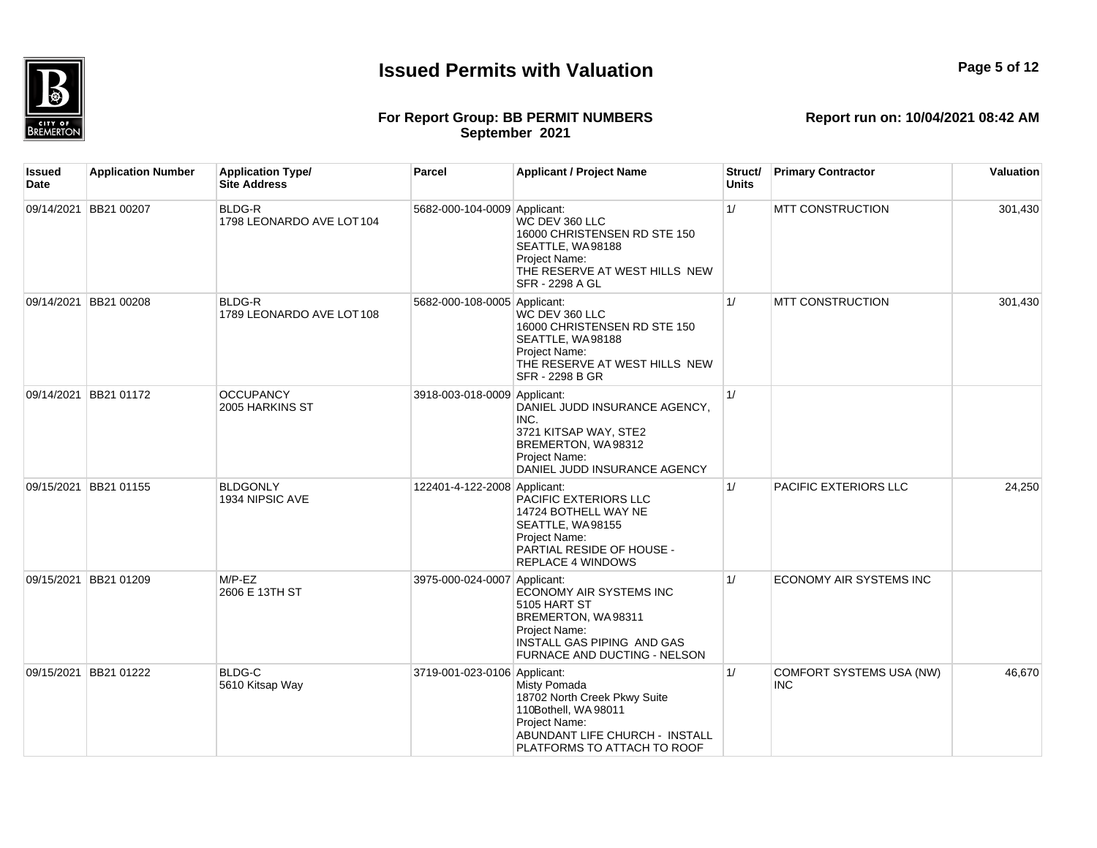

**Issued Date**

# **Report run on: 10/04/2021 08:42 AM**

### **For Report Group: BB PERMIT NUMBERS September 2021**

**Application Number Application Type/ Site Address Parcel Applicant / Project Name Struct/ Units Primary Contractor Valuation** 09/14/2021 BB21 00207 BLDG-R 1798 LEONARDO AVE LOT 104 5682-000-104-0009 Applicant: WC DEV 360 LLC 16000 CHRISTENSEN RD STE 150 SEATTLE, WA 98188 Project Name: THE RESERVE AT WEST HILLS NEW SFR - 2298 A GL 1/ MTT CONSTRUCTION 301,430 09/14/2021 BB21 00208 BLDG-R 1789 LEONARDO AVE LOT 108 5682-000-108-0005 Applicant: WC DEV 360 LLC 16000 CHRISTENSEN RD STE 150 SEATTLE, WA98188 Project Name: THE RESERVE AT WEST HILLS NEW SFR - 2298 B GR 1/ MTT CONSTRUCTION 301,430 09/14/2021 BB21 01172 OCCUPANCY 2005 HARKINS ST 3918-003-018-0009 Applicant: DANIEL JUDD INSURANCE AGENCY, INC. 3721 KITSAP WAY, STE2 BREMERTON, WA 98312 Project Name: DANIEL JUDD INSURANCE AGENCY 1/ 09/15/2021 BB21 01155 BLDGONLY 1934 NIPSIC AVE 122401-4-122-2008 Applicant: PACIFIC EXTERIORS LLC 14724 BOTHELL WAY NE SEATTLE, WA98155 Project Name: PARTIAL RESIDE OF HOUSE - REPLACE 4 WINDOWS 1/ PACIFIC EXTERIORS LLC 24,250 09/15/2021 BB21 01209 M/P-EZ 2606 E 13TH ST 3975-000-024-0007 Applicant: ECONOMY AIR SYSTEMS INC 5105 HART ST BREMERTON, WA 98311 Project Name: INSTALL GAS PIPING AND GAS FURNACE AND DUCTING - NELSON 1/ ECONOMY AIR SYSTEMS INC 09/15/2021 BB21 01222 BLDG-C 5610 Kitsap Way 3719-001-023-0106 Applicant: Misty Pomada 1/ COMFORT SYSTEMS USA (NW) INC 46,670

18702 North Creek Pkwy Suite 110Bothell, WA 98011 Project Name:

ABUNDANT LIFE CHURCH - INSTALL PLATFORMS TO ATTACH TO ROOF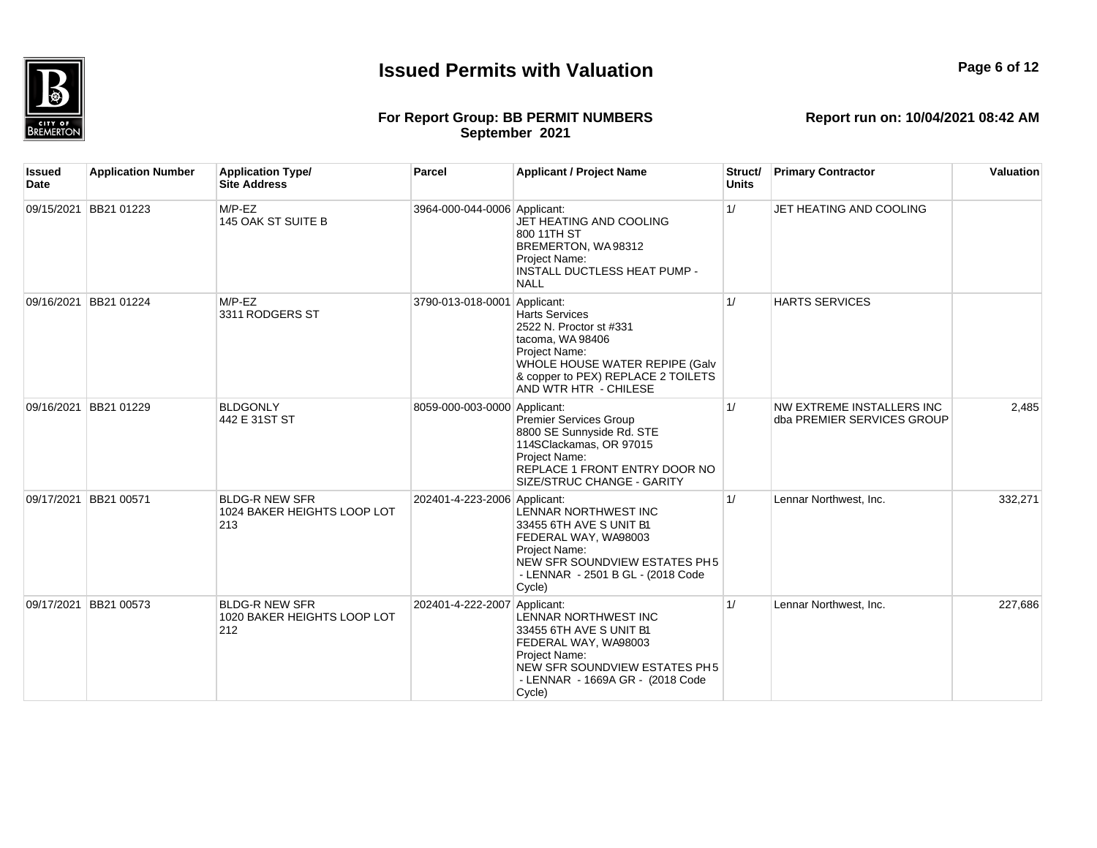

## **Report run on: 10/04/2021 08:42 AM**

### **For Report Group: BB PERMIT NUMBERS September 2021**

**Issued Date Application Number Application Type/ Site Address Parcel Applicant / Project Name Struct/ Units Primary Contractor Valuation** 09/15/2021 BB21 01223 M/P-EZ 145 OAK ST SUITE B 3964-000-044-0006 Applicant: JET HEATING AND COOLING 800 11TH ST BREMERTON, WA 98312 Project Name: INSTALL DUCTLESS HEAT PUMP - NALL 1/ JET HEATING AND COOLING 09/16/2021 BB21 01224 M/P-EZ 3311 RODGERS ST 3790-013-018-0001 Applicant: Harts Services 2522 N. Proctor st #331 tacoma, WA 98406 Project Name: WHOLE HOUSE WATER REPIPE (Galv & copper to PEX) REPLACE 2 TOILETS AND WTR HTR - CHILESE 1/ HARTS SERVICES 09/16/2021 BB21 01229 BLDGONLY 442 E 31ST ST 8059-000-003-0000 Applicant: Premier Services Group 8800 SE Sunnyside Rd. STE 114SClackamas, OR 97015 Project Name: REPLACE 1 FRONT ENTRY DOOR NO SIZE/STRUC CHANGE - GARITY 1/ NW EXTREME INSTALLERS INC dba PREMIER SERVICES GROUP 2,485 09/17/2021 BB21 00571 BLDG-R NEW SFR 1024 BAKER HEIGHTS LOOP LOT 213 202401-4-223-2006 Applicant: LENNAR NORTHWEST INC 33455 6TH AVE S UNIT B1 FEDERAL WAY, WA98003 Project Name: NEW SFR SOUNDVIEW ESTATES PH5 - LENNAR - 2501 B GL - (2018 Code Cycle) 1/ Lennar Northwest, Inc. 332,271 09/17/2021 BB21 00573 BLDG-R NEW SFR 1020 BAKER HEIGHTS LOOP LOT 212 202401-4-222-2007 Applicant: LENNAR NORTHWEST INC 33455 6TH AVE S UNIT B1 FEDERAL WAY, WA98003 Project Name: NEW SFR SOUNDVIEW ESTATES PH5 - LENNAR - 1669A GR - (2018 Code Cycle) 1/ Lennar Northwest, Inc. 227,686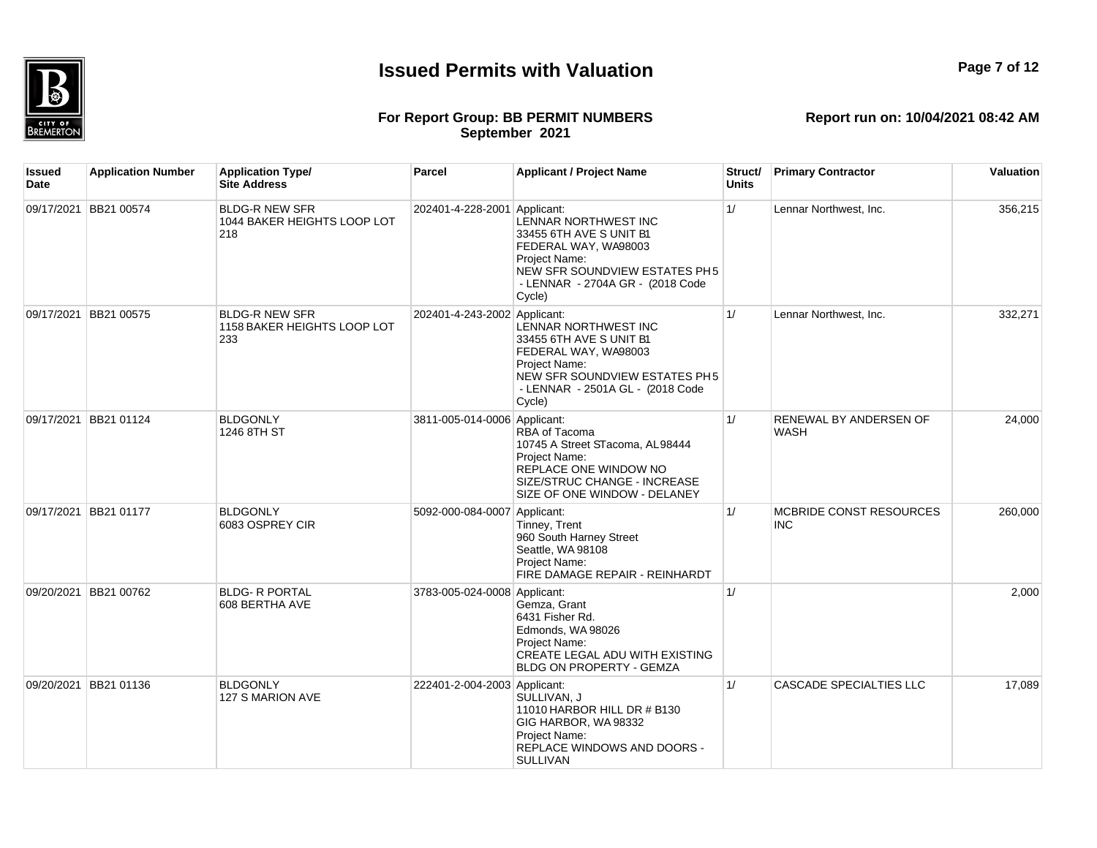

## **Report run on: 10/04/2021 08:42 AM**

### **For Report Group: BB PERMIT NUMBERS September 2021**

**Issued Date Application Number Application Type/ Site Address Parcel Applicant / Project Name Struct/ Units Primary Contractor Valuation** 09/17/2021 BB21 00574 BLDG-R NEW SFR 1044 BAKER HEIGHTS LOOP LOT 218 202401-4-228-2001 Applicant: LENNAR NORTHWEST INC 33455 6TH AVE S UNIT B1 FEDERAL WAY, WA98003 Project Name: NEW SFR SOUNDVIEW ESTATES PH5 - LENNAR - 2704A GR - (2018 Code Cycle) 1/ Lennar Northwest, Inc. 156,215 09/17/2021 BB21 00575 BLDG-R NEW SFR 1158 BAKER HEIGHTS LOOP LOT 233 202401-4-243-2002 Applicant: LENNAR NORTHWEST INC 33455 6TH AVE S UNIT B1 FEDERAL WAY, WA98003 Project Name: NEW SFR SOUNDVIEW ESTATES PH5 - LENNAR - 2501A GL - (2018 Code Cycle) 1/ Lennar Northwest, Inc. 332,271 09/17/2021 BB21 01124 BLDGONLY 1246 8TH ST 3811-005-014-0006 Applicant: RBA of Tacoma 10745 A Street STacoma, AL 98444 Project Name: REPLACE ONE WINDOW NO SIZE/STRUC CHANGE - INCREASE SIZE OF ONE WINDOW - DELANEY 1/ RENEWAL BY ANDERSEN OF WASH 24,000 09/17/2021 BB21 01177 BI DGONLY 6083 OSPREY CIR 5092-000-084-0007 Applicant: Tinney, Trent 960 South Harney Street Seattle, WA 98108 Project Name: FIRE DAMAGE REPAIR - REINHARDT 1/ MCBRIDE CONST RESOURCES INC 260,000 09/20/2021 BB21 00762 BLDG- R PORTAL 608 BERTHA AVE 3783-005-024-0008 Applicant: Gemza, Grant 6431 Fisher Rd. Edmonds, WA 98026 Project Name: CREATE LEGAL ADU WITH EXISTING BLDG ON PROPERTY - GEMZA  $1/$  2,000 09/20/2021 BB21 01136 BLDGONLY 127 S MARION AVE 222401-2-004-2003 Applicant: SULLIVAN, J 11010 HARBOR HILL DR # B130 GIG HARBOR, WA 98332 Project Name: REPLACE WINDOWS AND DOORS - **SULLIVAN** 1/ CASCADE SPECIALTIES LLC 17,089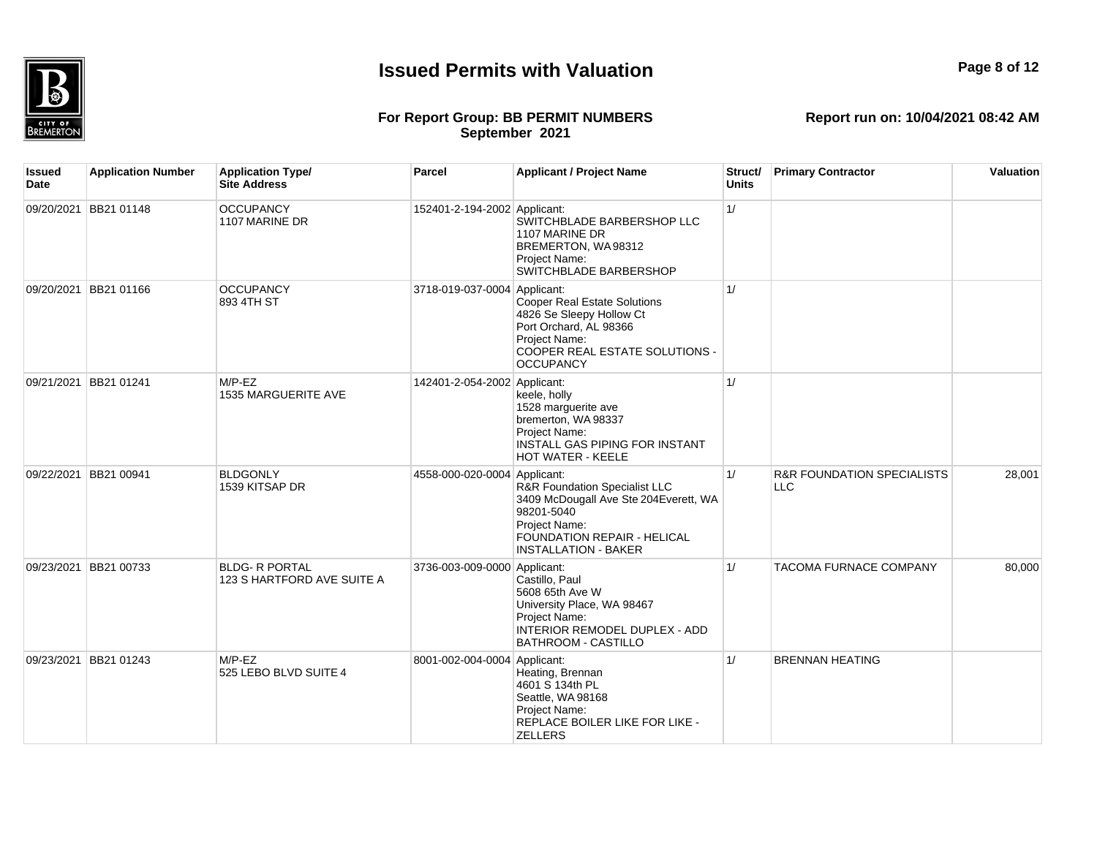

## **Page 8 of 12**

#### **For Report Group: BB PERMIT NUMBERS September 2021**

| Issued<br>Date | <b>Application Number</b> | <b>Application Type/</b><br><b>Site Address</b>     | <b>Parcel</b>                | <b>Applicant / Project Name</b>                                                                                                                                     | Struct/<br><b>Units</b> | <b>Primary Contractor</b>                           | Valuation |
|----------------|---------------------------|-----------------------------------------------------|------------------------------|---------------------------------------------------------------------------------------------------------------------------------------------------------------------|-------------------------|-----------------------------------------------------|-----------|
|                | 09/20/2021 BB21 01148     | <b>OCCUPANCY</b><br>1107 MARINE DR                  | 152401-2-194-2002 Applicant: | SWITCHBLADE BARBERSHOP LLC<br>1107 MARINE DR<br>BREMERTON, WA98312<br>Project Name:<br>SWITCHBLADE BARBERSHOP                                                       | 1/                      |                                                     |           |
| 09/20/2021     | BB21 01166                | <b>OCCUPANCY</b><br>893 4TH ST                      | 3718-019-037-0004 Applicant: | Cooper Real Estate Solutions<br>4826 Se Sleepy Hollow Ct<br>Port Orchard, AL 98366<br>Project Name:<br>COOPER REAL ESTATE SOLUTIONS -<br><b>OCCUPANCY</b>           | 1/                      |                                                     |           |
|                | 09/21/2021 BB21 01241     | $M/P$ -EZ<br>1535 MARGUERITE AVE                    | 142401-2-054-2002 Applicant: | keele, holly<br>1528 marguerite ave<br>bremerton, WA 98337<br>Project Name:<br>INSTALL GAS PIPING FOR INSTANT<br>HOT WATER - KEELE                                  | 1/                      |                                                     |           |
| 09/22/2021     | <b>BB21 00941</b>         | <b>BLDGONLY</b><br>1539 KITSAP DR                   | 4558-000-020-0004 Applicant: | R&R Foundation Specialist LLC<br>3409 McDougall Ave Ste 204Everett, WA<br>98201-5040<br>Project Name:<br>FOUNDATION REPAIR - HELICAL<br><b>INSTALLATION - BAKER</b> | 1/                      | <b>R&amp;R FOUNDATION SPECIALISTS</b><br><b>LLC</b> | 28,001    |
| 09/23/2021     | BB21 00733                | <b>BLDG- R PORTAL</b><br>123 S HARTFORD AVE SUITE A | 3736-003-009-0000 Applicant: | Castillo, Paul<br>5608 65th Ave W<br>University Place, WA 98467<br>Project Name:<br>INTERIOR REMODEL DUPLEX - ADD<br><b>BATHROOM - CASTILLO</b>                     | 1/                      | <b>TACOMA FURNACE COMPANY</b>                       | 80,000    |
| 09/23/2021     | BB21 01243                | $M/P$ -EZ<br>525 LEBO BLVD SUITE 4                  | 8001-002-004-0004 Applicant: | Heating, Brennan<br>4601 S 134th PL<br>Seattle, WA 98168<br>Project Name:<br>REPLACE BOILER LIKE FOR LIKE -<br><b>ZELLERS</b>                                       | 1/                      | <b>BRENNAN HEATING</b>                              |           |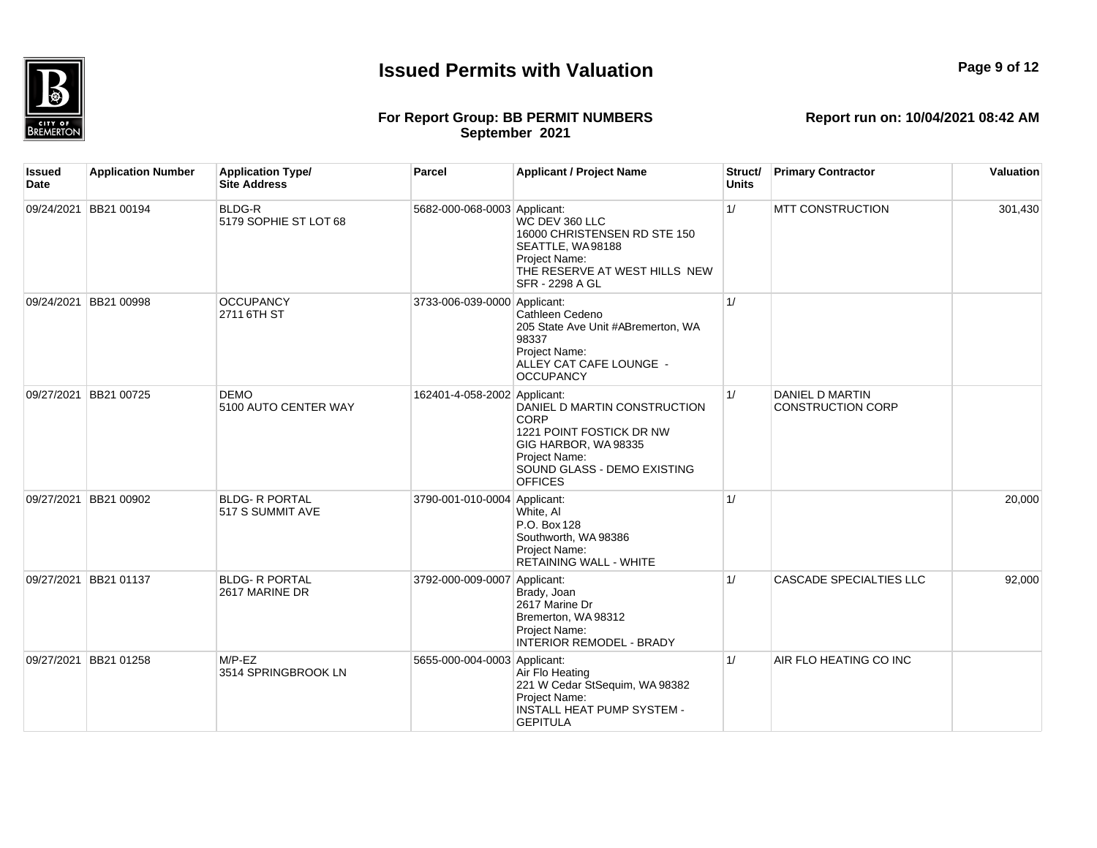

## **Report run on: 10/04/2021 08:42 AM**

**For Report Group: BB PERMIT NUMBERS September 2021**

| <b>Issued</b><br>Date | <b>Application Number</b> | <b>Application Type/</b><br><b>Site Address</b> | Parcel                       | <b>Applicant / Project Name</b>                                                                                                                           | Struct/<br><b>Units</b> | <b>Primary Contractor</b>                   | Valuation |
|-----------------------|---------------------------|-------------------------------------------------|------------------------------|-----------------------------------------------------------------------------------------------------------------------------------------------------------|-------------------------|---------------------------------------------|-----------|
|                       | 09/24/2021 BB21 00194     | <b>BLDG-R</b><br>5179 SOPHIE ST LOT 68          | 5682-000-068-0003 Applicant: | WC DEV 360 LLC<br>16000 CHRISTENSEN RD STE 150<br>SEATTLE, WA98188<br>Project Name:<br>THE RESERVE AT WEST HILLS NEW<br><b>SFR - 2298 A GL</b>            | 1/                      | <b>MTT CONSTRUCTION</b>                     | 301,430   |
|                       | 09/24/2021 BB21 00998     | <b>OCCUPANCY</b><br>2711 6TH ST                 | 3733-006-039-0000 Applicant: | Cathleen Cedeno<br>205 State Ave Unit #ABremerton, WA<br>98337<br>Project Name:<br>ALLEY CAT CAFE LOUNGE -<br><b>OCCUPANCY</b>                            | 1/                      |                                             |           |
|                       | 09/27/2021 BB21 00725     | <b>DEMO</b><br>5100 AUTO CENTER WAY             | 162401-4-058-2002 Applicant: | DANIEL D MARTIN CONSTRUCTION<br>CORP<br>1221 POINT FOSTICK DR NW<br>GIG HARBOR, WA98335<br>Project Name:<br>SOUND GLASS - DEMO EXISTING<br><b>OFFICES</b> | 1/                      | DANIEL D MARTIN<br><b>CONSTRUCTION CORP</b> |           |
|                       | 09/27/2021 BB21 00902     | <b>BLDG- R PORTAL</b><br>517 S SUMMIT AVE       | 3790-001-010-0004 Applicant: | White, Al<br>P.O. Box 128<br>Southworth, WA 98386<br>Project Name:<br><b>RETAINING WALL - WHITE</b>                                                       | 1/                      |                                             | 20,000    |
| 09/27/2021            | BB21 01137                | <b>BLDG- R PORTAL</b><br>2617 MARINE DR         | 3792-000-009-0007 Applicant: | Brady, Joan<br>2617 Marine Dr<br>Bremerton, WA 98312<br>Project Name:<br><b>INTERIOR REMODEL - BRADY</b>                                                  | 1/                      | <b>CASCADE SPECIALTIES LLC</b>              | 92,000    |
|                       | 09/27/2021 BB21 01258     | $M/P$ -EZ<br>3514 SPRINGBROOK LN                | 5655-000-004-0003 Applicant: | Air Flo Heating<br>221 W Cedar StSequim, WA 98382<br>Project Name:<br><b>INSTALL HEAT PUMP SYSTEM -</b><br><b>GEPITULA</b>                                | 1/                      | AIR FLO HEATING CO INC                      |           |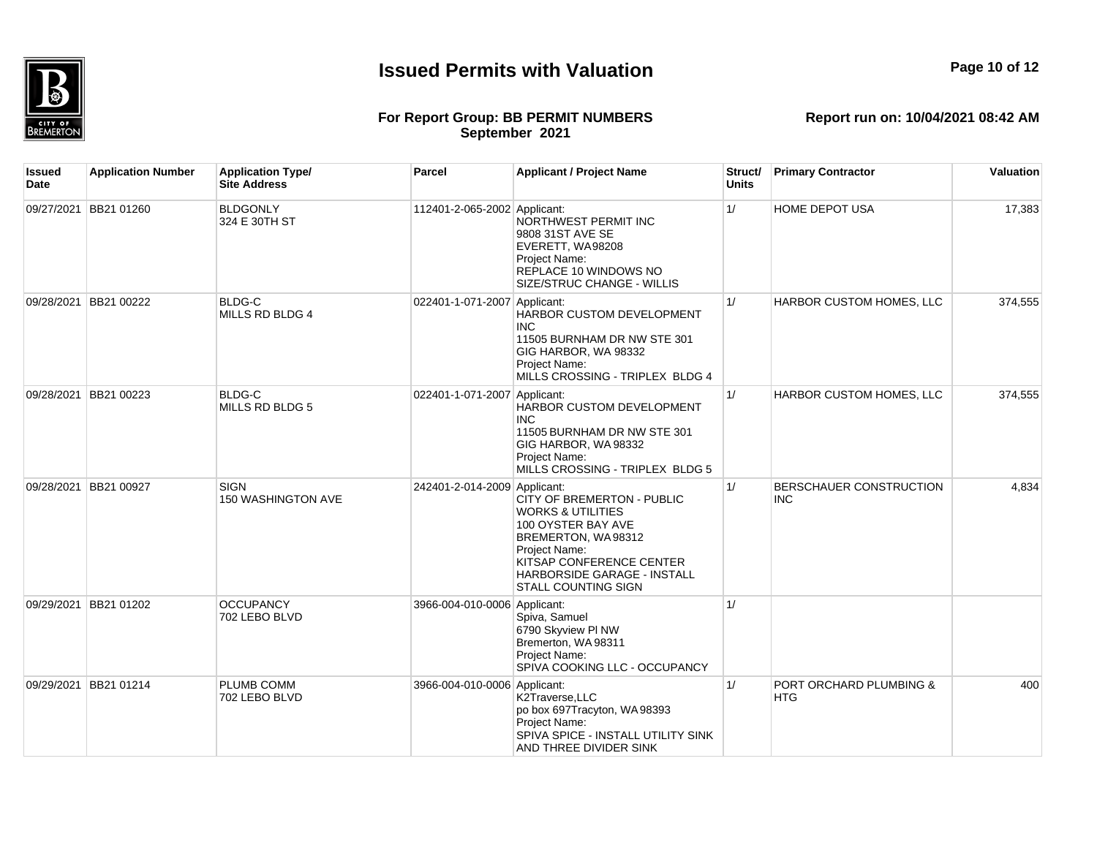

## **Page 10 of 12**

#### **For Report Group: BB PERMIT NUMBERS September 2021**

| Issued<br>Date | <b>Application Number</b> | <b>Application Type/</b><br><b>Site Address</b> | <b>Parcel</b>                | <b>Applicant / Project Name</b>                                                                                                                                                                                  | Struct/<br><b>Units</b> | <b>Primary Contractor</b>             | Valuation |
|----------------|---------------------------|-------------------------------------------------|------------------------------|------------------------------------------------------------------------------------------------------------------------------------------------------------------------------------------------------------------|-------------------------|---------------------------------------|-----------|
| 09/27/2021     | <b>BB21 01260</b>         | <b>BLDGONLY</b><br>324 E 30TH ST                | 112401-2-065-2002 Applicant: | NORTHWEST PERMIT INC<br>9808 31ST AVE SE<br>EVERETT, WA98208<br>Project Name:<br>REPLACE 10 WINDOWS NO<br>SIZE/STRUC CHANGE - WILLIS                                                                             | 1/                      | <b>HOME DEPOT USA</b>                 | 17,383    |
| 09/28/2021     | BB21 00222                | BLDG-C<br>MILLS RD BLDG 4                       | 022401-1-071-2007 Applicant: | HARBOR CUSTOM DEVELOPMENT<br><b>INC</b><br>11505 BURNHAM DR NW STE 301<br>GIG HARBOR, WA 98332<br>Project Name:<br>MILLS CROSSING - TRIPLEX BLDG 4                                                               | 1/                      | HARBOR CUSTOM HOMES, LLC              | 374,555   |
| 09/28/2021     | <b>BB21 00223</b>         | BLDG-C<br>MILLS RD BLDG 5                       | 022401-1-071-2007 Applicant: | HARBOR CUSTOM DEVELOPMENT<br><b>INC</b><br>11505 BURNHAM DR NW STE 301<br>GIG HARBOR, WA 98332<br>Project Name:<br>MILLS CROSSING - TRIPLEX BLDG 5                                                               | 1/                      | HARBOR CUSTOM HOMES, LLC              | 374,555   |
|                | 09/28/2021 BB21 00927     | <b>SIGN</b><br>150 WASHINGTON AVE               | 242401-2-014-2009 Applicant: | CITY OF BREMERTON - PUBLIC<br><b>WORKS &amp; UTILITIES</b><br>100 OYSTER BAY AVE<br>BREMERTON, WA98312<br>Project Name:<br>KITSAP CONFERENCE CENTER<br>HARBORSIDE GARAGE - INSTALL<br><b>STALL COUNTING SIGN</b> | 1/                      | BERSCHAUER CONSTRUCTION<br><b>INC</b> | 4,834     |
| 09/29/2021     | <b>BB21 01202</b>         | <b>OCCUPANCY</b><br>702 LEBO BLVD               | 3966-004-010-0006 Applicant: | Spiva, Samuel<br>6790 Skyview PI NW<br>Bremerton, WA 98311<br>Project Name:<br>SPIVA COOKING LLC - OCCUPANCY                                                                                                     | 1/                      |                                       |           |
| 09/29/2021     | BB21 01214                | PLUMB COMM<br>702 LEBO BLVD                     | 3966-004-010-0006 Applicant: | K2Traverse, LLC<br>po box 697Tracyton, WA 98393<br>Project Name:<br>SPIVA SPICE - INSTALL UTILITY SINK<br>AND THREE DIVIDER SINK                                                                                 | 1/                      | PORT ORCHARD PLUMBING &<br><b>HTG</b> | 400       |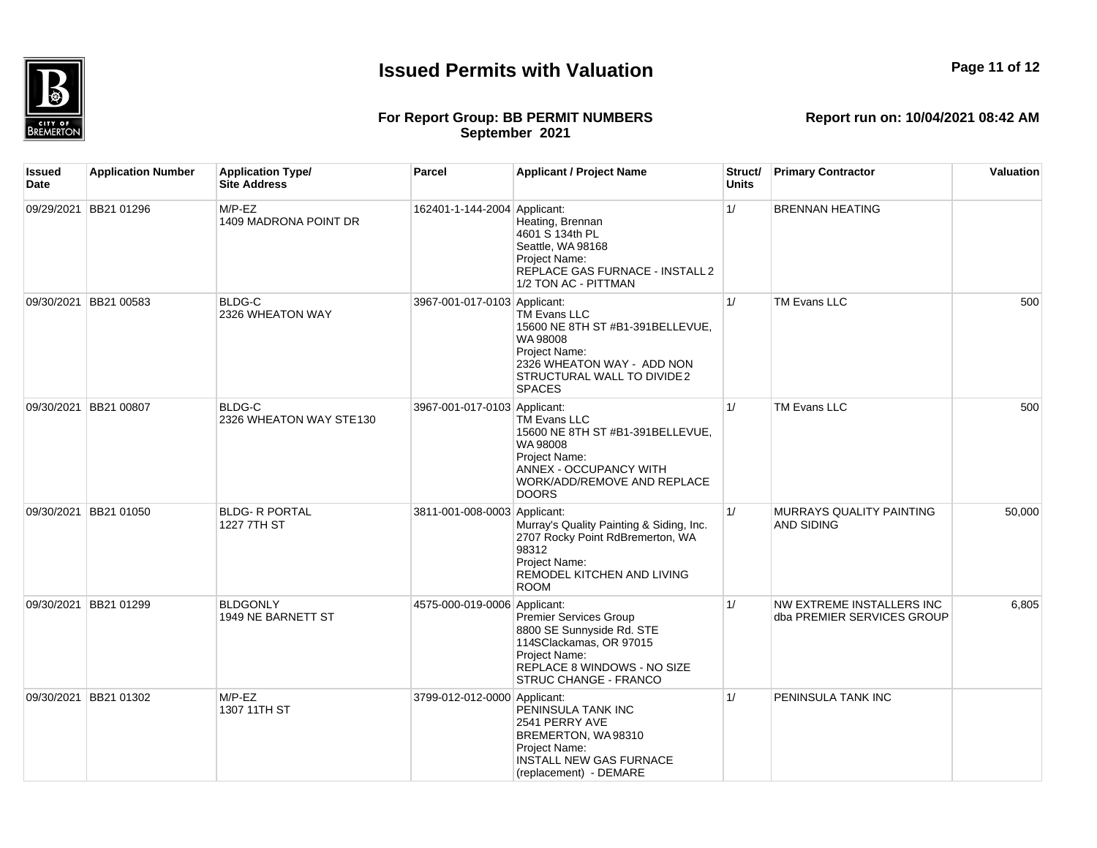

**Page 11 of 12**

## **For Report Group: BB PERMIT NUMBERS September 2021**

**Report run on: 10/04/2021 08:42 AM**

| Issued<br>Date | <b>Application Number</b> | <b>Application Type/</b><br><b>Site Address</b> | Parcel                       | <b>Applicant / Project Name</b>                                                                                                                                       | Struct/<br><b>Units</b> | <b>Primary Contractor</b>                               | Valuation |
|----------------|---------------------------|-------------------------------------------------|------------------------------|-----------------------------------------------------------------------------------------------------------------------------------------------------------------------|-------------------------|---------------------------------------------------------|-----------|
|                | 09/29/2021 BB21 01296     | $M/P$ -EZ<br>1409 MADRONA POINT DR              | 162401-1-144-2004 Applicant: | Heating, Brennan<br>4601 S 134th PL<br>Seattle, WA 98168<br>Project Name:<br>REPLACE GAS FURNACE - INSTALL 2<br>1/2 TON AC - PITTMAN                                  | 1/                      | <b>BRENNAN HEATING</b>                                  |           |
|                | 09/30/2021 BB21 00583     | <b>BLDG-C</b><br>2326 WHEATON WAY               | 3967-001-017-0103 Applicant: | <b>TM Evans LLC</b><br>15600 NE 8TH ST #B1-391BELLEVUE,<br>WA 98008<br>Project Name:<br>2326 WHEATON WAY - ADD NON<br>STRUCTURAL WALL TO DIVIDE 2<br><b>SPACES</b>    | 1/                      | TM Evans LLC                                            | 500       |
|                | 09/30/2021 BB21 00807     | <b>BLDG-C</b><br>2326 WHEATON WAY STE130        | 3967-001-017-0103 Applicant: | TM Evans LLC<br>15600 NE 8TH ST #B1-391BELLEVUE,<br>WA 98008<br>Project Name:<br><b>ANNEX - OCCUPANCY WITH</b><br>WORK/ADD/REMOVE AND REPLACE<br><b>DOORS</b>         | 1/                      | <b>TM Evans LLC</b>                                     | 500       |
|                | 09/30/2021 BB21 01050     | <b>BLDG- R PORTAL</b><br>1227 7TH ST            | 3811-001-008-0003 Applicant: | Murray's Quality Painting & Siding, Inc.<br>2707 Rocky Point RdBremerton, WA<br>98312<br>Project Name:<br>REMODEL KITCHEN AND LIVING<br><b>ROOM</b>                   | 1/                      | MURRAYS QUALITY PAINTING<br><b>AND SIDING</b>           | 50,000    |
|                | 09/30/2021 BB21 01299     | <b>BLDGONLY</b><br>1949 NE BARNETT ST           | 4575-000-019-0006 Applicant: | <b>Premier Services Group</b><br>8800 SE Sunnyside Rd. STE<br>114SClackamas, OR 97015<br>Project Name:<br>REPLACE 8 WINDOWS - NO SIZE<br><b>STRUC CHANGE - FRANCO</b> | 1/                      | NW EXTREME INSTALLERS INC<br>dba PREMIER SERVICES GROUP | 6,805     |
|                | 09/30/2021 BB21 01302     | $M/P$ -EZ<br>1307 11TH ST                       | 3799-012-012-0000 Applicant: | PENINSULA TANK INC<br>2541 PERRY AVE<br>BREMERTON, WA98310<br>Project Name:<br>INSTALL NEW GAS FURNACE                                                                | 1/                      | PENINSULA TANK INC                                      |           |

(replacement) - DEMARE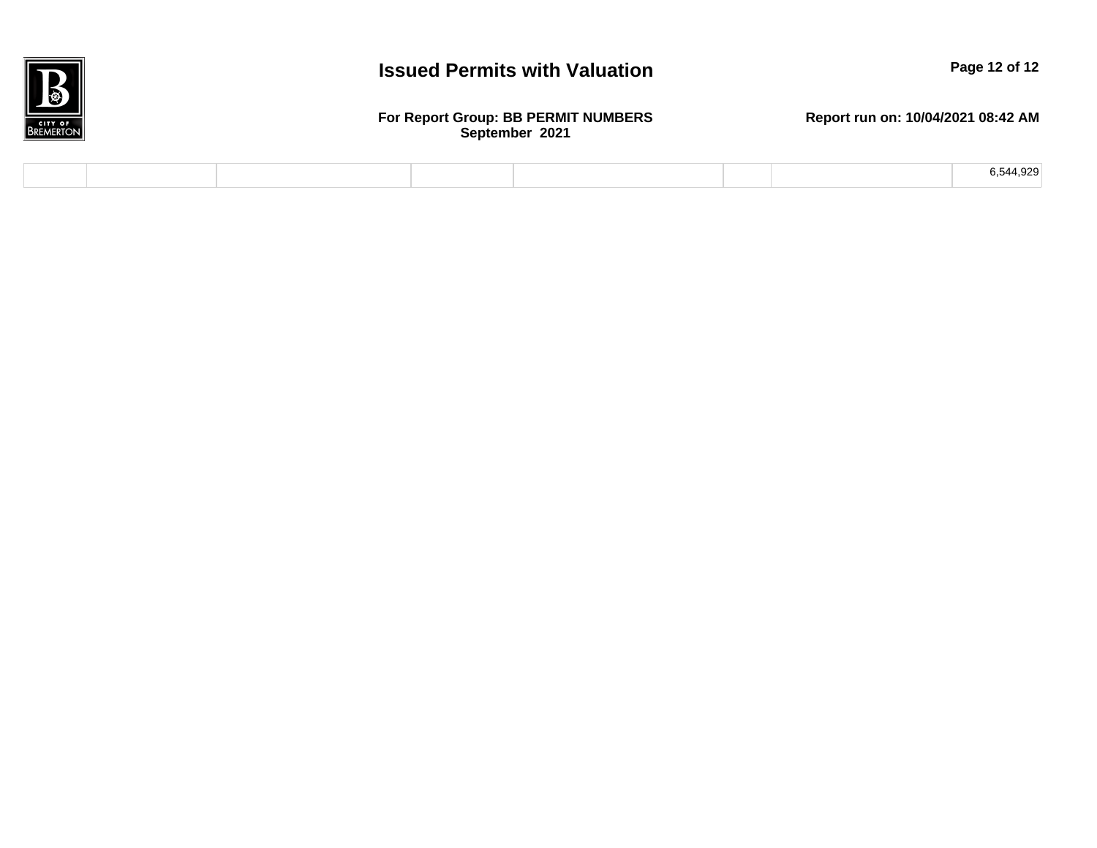

#### **For Report Group: BB PERMIT NUMBERS September 2021**

|  |  |  | 544.929 |
|--|--|--|---------|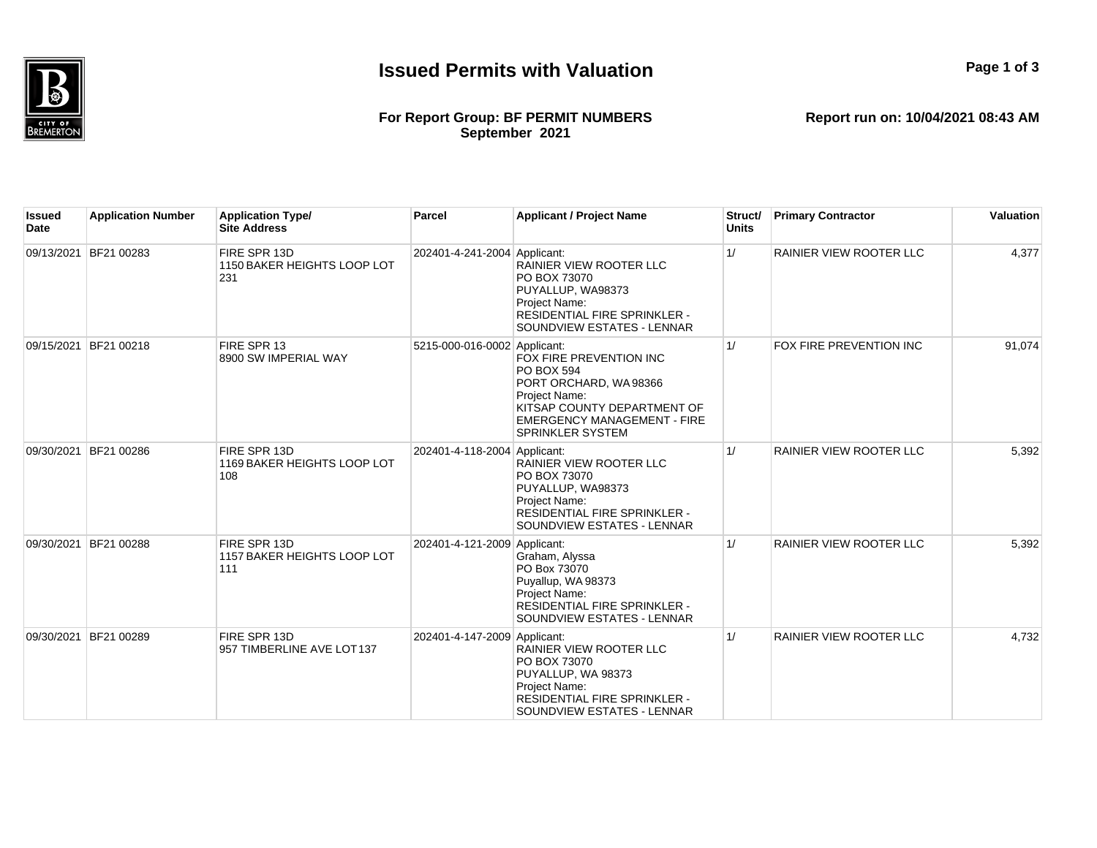

#### **For Report Group: BF PERMIT NUMBERS September 2021**

**Report run on: 10/04/2021 08:43 AM**

**Page 1 of 3**

| Issued<br><b>Date</b> | <b>Application Number</b> | <b>Application Type/</b><br><b>Site Address</b>    | <b>Parcel</b>                | <b>Applicant / Project Name</b>                                                                                                                                                        | Struct/<br><b>Units</b> | <b>Primary Contractor</b>      | Valuation |
|-----------------------|---------------------------|----------------------------------------------------|------------------------------|----------------------------------------------------------------------------------------------------------------------------------------------------------------------------------------|-------------------------|--------------------------------|-----------|
| 09/13/2021            | BF21 00283                | FIRE SPR 13D<br>1150 BAKER HEIGHTS LOOP LOT<br>231 | 202401-4-241-2004 Applicant: | RAINIER VIEW ROOTER LLC<br>PO BOX 73070<br>PUYALLUP, WA98373<br>Project Name:<br>RESIDENTIAL FIRE SPRINKLER -<br>SOUNDVIEW ESTATES - LENNAR                                            | 1/                      | RAINIER VIEW ROOTER LLC        | 4,377     |
| 09/15/2021            | BF21 00218                | FIRE SPR 13<br>8900 SW IMPERIAL WAY                | 5215-000-016-0002 Applicant: | FOX FIRE PREVENTION INC<br><b>PO BOX 594</b><br>PORT ORCHARD, WA98366<br>Project Name:<br>KITSAP COUNTY DEPARTMENT OF<br><b>EMERGENCY MANAGEMENT - FIRE</b><br><b>SPRINKLER SYSTEM</b> | 1/                      | FOX FIRE PREVENTION INC        | 91,074    |
| 09/30/2021            | BF21 00286                | FIRE SPR 13D<br>1169 BAKER HEIGHTS LOOP LOT<br>108 | 202401-4-118-2004 Applicant: | <b>RAINIER VIEW ROOTER LLC</b><br>PO BOX 73070<br>PUYALLUP, WA98373<br>Project Name:<br>RESIDENTIAL FIRE SPRINKLER -<br>SOUNDVIEW ESTATES - LENNAR                                     | 1/                      | <b>RAINIER VIEW ROOTER LLC</b> | 5,392     |
| 09/30/2021            | BF21 00288                | FIRE SPR 13D<br>1157 BAKER HEIGHTS LOOP LOT<br>111 | 202401-4-121-2009 Applicant: | Graham, Alyssa<br>PO Box 73070<br>Puyallup, WA 98373<br>Project Name:<br>RESIDENTIAL FIRE SPRINKLER -<br>SOUNDVIEW ESTATES - LENNAR                                                    | 1/                      | RAINIER VIEW ROOTER LLC        | 5,392     |
| 09/30/2021            | BF21 00289                | FIRE SPR 13D<br>957 TIMBERLINE AVE LOT137          | 202401-4-147-2009 Applicant: | <b>RAINIER VIEW ROOTER LLC</b><br>PO BOX 73070<br>PUYALLUP, WA 98373<br>Project Name:<br>RESIDENTIAL FIRE SPRINKLER -<br>SOUNDVIEW ESTATES - LENNAR                                    | 1/                      | RAINIER VIEW ROOTER LLC        | 4,732     |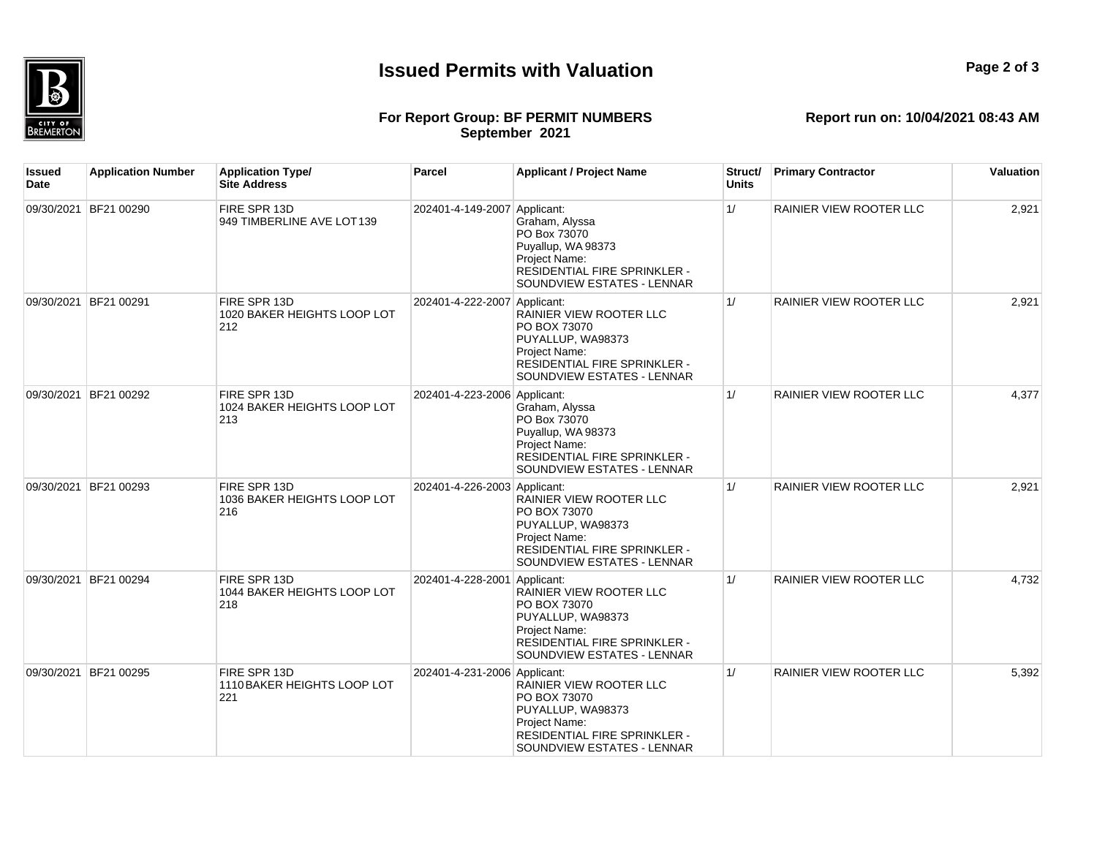

## **Report run on: 10/04/2021 08:43 AM**

**For Report Group: BF PERMIT NUMBERS September 2021**

| Issued<br>Date | <b>Application Number</b> | <b>Application Type/</b><br><b>Site Address</b>    | Parcel                       | <b>Applicant / Project Name</b>                                                                                                                    | Struct/<br><b>Units</b> | <b>Primary Contractor</b> | Valuation |
|----------------|---------------------------|----------------------------------------------------|------------------------------|----------------------------------------------------------------------------------------------------------------------------------------------------|-------------------------|---------------------------|-----------|
|                | 09/30/2021 BF21 00290     | FIRE SPR 13D<br>949 TIMBERLINE AVE LOT139          | 202401-4-149-2007 Applicant: | Graham, Alyssa<br>PO Box 73070<br>Puyallup, WA 98373<br>Project Name:<br>RESIDENTIAL FIRE SPRINKLER -<br>SOUNDVIEW ESTATES - LENNAR                | 1/                      | RAINIER VIEW ROOTER LLC   | 2,921     |
|                | 09/30/2021 BF21 00291     | FIRE SPR 13D<br>1020 BAKER HEIGHTS LOOP LOT<br>212 | 202401-4-222-2007 Applicant: | <b>RAINIER VIEW ROOTER LLC</b><br>PO BOX 73070<br>PUYALLUP, WA98373<br>Project Name:<br>RESIDENTIAL FIRE SPRINKLER -<br>SOUNDVIEW ESTATES - LENNAR | 1/                      | RAINIER VIEW ROOTER LLC   | 2,921     |
|                | 09/30/2021 BF21 00292     | FIRE SPR 13D<br>1024 BAKER HEIGHTS LOOP LOT<br>213 | 202401-4-223-2006 Applicant: | Graham, Alyssa<br>PO Box 73070<br>Puyallup, WA 98373<br>Project Name:<br>RESIDENTIAL FIRE SPRINKLER -<br>SOUNDVIEW ESTATES - LENNAR                | 1/                      | RAINIER VIEW ROOTER LLC   | 4,377     |
|                | 09/30/2021 BF21 00293     | FIRE SPR 13D<br>1036 BAKER HEIGHTS LOOP LOT<br>216 | 202401-4-226-2003 Applicant: | RAINIER VIEW ROOTER LLC<br>PO BOX 73070<br>PUYALLUP, WA98373<br>Project Name:<br>RESIDENTIAL FIRE SPRINKLER -<br>SOUNDVIEW ESTATES - LENNAR        | 1/                      | RAINIER VIEW ROOTER LLC   | 2,921     |
|                | 09/30/2021 BF21 00294     | FIRE SPR 13D<br>1044 BAKER HEIGHTS LOOP LOT<br>218 | 202401-4-228-2001 Applicant: | RAINIER VIEW ROOTER LLC<br>PO BOX 73070<br>PUYALLUP, WA98373<br>Project Name:<br>RESIDENTIAL FIRE SPRINKLER -<br>SOUNDVIEW ESTATES - LENNAR        | 1/                      | RAINIER VIEW ROOTER LLC   | 4,732     |
|                | 09/30/2021 BF21 00295     | FIRE SPR 13D<br>1110 BAKER HEIGHTS LOOP LOT<br>221 | 202401-4-231-2006 Applicant: | <b>RAINIER VIEW ROOTER LLC</b><br>PO BOX 73070<br>PUYALLUP, WA98373<br>Project Name:<br>RESIDENTIAL FIRE SPRINKLER -<br>SOUNDVIEW ESTATES - LENNAR | 1/                      | RAINIER VIEW ROOTER LLC   | 5,392     |